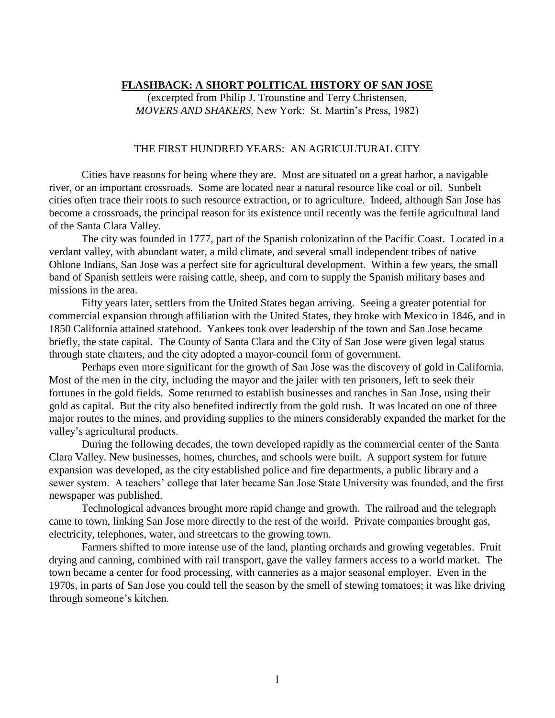# **FLASHBACK: A SHORT POLITICAL HISTORY OF SAN JOSE**

(excerpted from Philip J. Trounstine and Terry Christensen, *MOVERS AND SHAKERS*, New York: St. Martin"s Press, 1982)

### THE FIRST HUNDRED YEARS: AN AGRICULTURAL CITY

Cities have reasons for being where they are. Most are situated on a great harbor, a navigable river, or an important crossroads. Some are located near a natural resource like coal or oil. Sunbelt cities often trace their roots to such resource extraction, or to agriculture. Indeed, although San Jose has become a crossroads, the principal reason for its existence until recently was the fertile agricultural land of the Santa Clara Valley.

The city was founded in 1777, part of the Spanish colonization of the Pacific Coast. Located in a verdant valley, with abundant water, a mild climate, and several small independent tribes of native Ohlone Indians, San Jose was a perfect site for agricultural development. Within a few years, the small band of Spanish settlers were raising cattle, sheep, and corn to supply the Spanish military bases and missions in the area.

Fifty years later, settlers from the United States began arriving. Seeing a greater potential for commercial expansion through affiliation with the United States, they broke with Mexico in 1846, and in 1850 California attained statehood. Yankees took over leadership of the town and San Jose became briefly, the state capital. The County of Santa Clara and the City of San Jose were given legal status through state charters, and the city adopted a mayor-council form of government.

Perhaps even more significant for the growth of San Jose was the discovery of gold in California. Most of the men in the city, including the mayor and the jailer with ten prisoners, left to seek their fortunes in the gold fields. Some returned to establish businesses and ranches in San Jose, using their gold as capital. But the city also benefited indirectly from the gold rush. It was located on one of three major routes to the mines, and providing supplies to the miners considerably expanded the market for the valley"s agricultural products.

During the following decades, the town developed rapidly as the commercial center of the Santa Clara Valley. New businesses, homes, churches, and schools were built. A support system for future expansion was developed, as the city established police and fire departments, a public library and a sewer system. A teachers' college that later became San Jose State University was founded, and the first newspaper was published.

Technological advances brought more rapid change and growth. The railroad and the telegraph came to town, linking San Jose more directly to the rest of the world. Private companies brought gas, electricity, telephones, water, and streetcars to the growing town.

Farmers shifted to more intense use of the land, planting orchards and growing vegetables. Fruit drying and canning, combined with rail transport, gave the valley farmers access to a world market. The town became a center for food processing, with canneries as a major seasonal employer. Even in the 1970s, in parts of San Jose you could tell the season by the smell of stewing tomatoes; it was like driving through someone"s kitchen.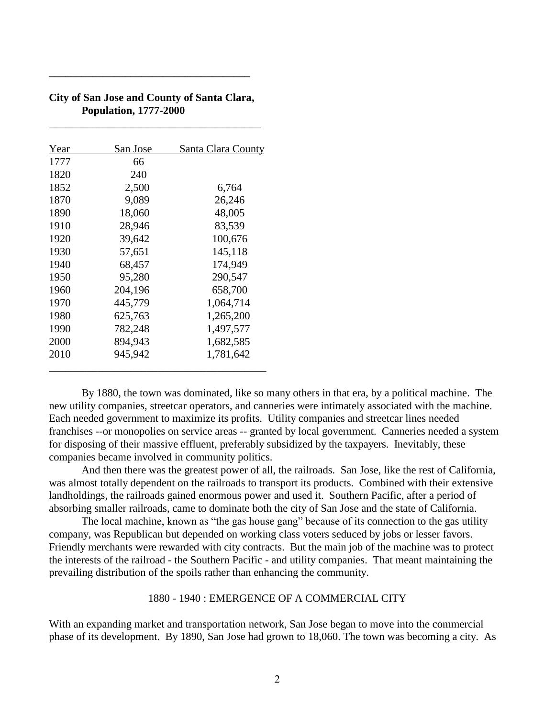| Year | San Jose | Santa Clara County |
|------|----------|--------------------|
| 1777 | 66       |                    |
| 1820 | 240      |                    |
| 1852 | 2,500    | 6,764              |
| 1870 | 9,089    | 26,246             |
| 1890 | 18,060   | 48,005             |
| 1910 | 28,946   | 83,539             |
| 1920 | 39,642   | 100,676            |
| 1930 | 57,651   | 145,118            |
| 1940 | 68,457   | 174,949            |
| 1950 | 95,280   | 290,547            |
| 1960 | 204,196  | 658,700            |
| 1970 | 445,779  | 1,064,714          |
| 1980 | 625,763  | 1,265,200          |
| 1990 | 782,248  | 1,497,577          |
| 2000 | 894,943  | 1,682,585          |
| 2010 | 945,942  | 1,781,642          |
|      |          |                    |

**City of San Jose and County of Santa Clara, Population, 1777-2000**

\_\_\_\_\_\_\_\_\_\_\_\_\_\_\_\_\_\_\_\_\_\_\_\_\_\_\_\_\_\_\_\_\_\_\_\_\_\_\_

**\_\_\_\_\_\_\_\_\_\_\_\_\_\_\_\_\_\_\_\_\_\_\_\_\_\_\_\_\_\_\_\_\_\_\_\_\_**

By 1880, the town was dominated, like so many others in that era, by a political machine. The new utility companies, streetcar operators, and canneries were intimately associated with the machine. Each needed government to maximize its profits. Utility companies and streetcar lines needed franchises --or monopolies on service areas -- granted by local government. Canneries needed a system for disposing of their massive effluent, preferably subsidized by the taxpayers. Inevitably, these companies became involved in community politics.

And then there was the greatest power of all, the railroads. San Jose, like the rest of California, was almost totally dependent on the railroads to transport its products. Combined with their extensive landholdings, the railroads gained enormous power and used it. Southern Pacific, after a period of absorbing smaller railroads, came to dominate both the city of San Jose and the state of California.

The local machine, known as "the gas house gang" because of its connection to the gas utility company, was Republican but depended on working class voters seduced by jobs or lesser favors. Friendly merchants were rewarded with city contracts. But the main job of the machine was to protect the interests of the railroad - the Southern Pacific - and utility companies. That meant maintaining the prevailing distribution of the spoils rather than enhancing the community.

#### 1880 - 1940 : EMERGENCE OF A COMMERCIAL CITY

With an expanding market and transportation network, San Jose began to move into the commercial phase of its development. By 1890, San Jose had grown to 18,060. The town was becoming a city. As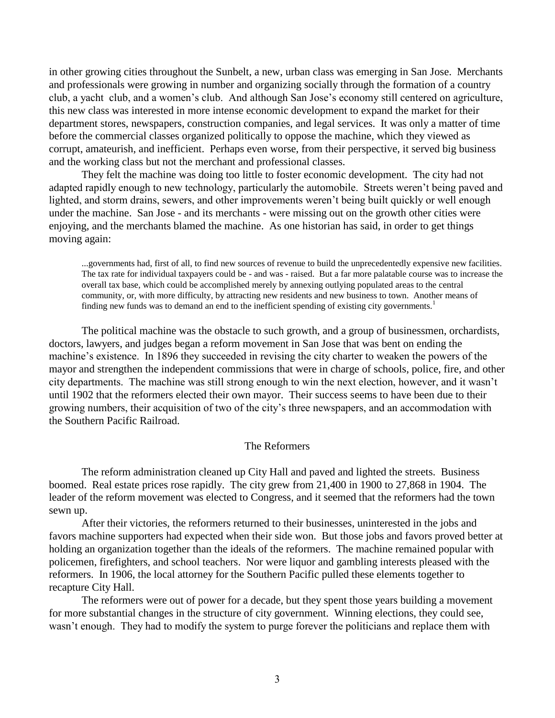in other growing cities throughout the Sunbelt, a new, urban class was emerging in San Jose. Merchants and professionals were growing in number and organizing socially through the formation of a country club, a yacht club, and a women"s club. And although San Jose"s economy still centered on agriculture, this new class was interested in more intense economic development to expand the market for their department stores, newspapers, construction companies, and legal services. It was only a matter of time before the commercial classes organized politically to oppose the machine, which they viewed as corrupt, amateurish, and inefficient. Perhaps even worse, from their perspective, it served big business and the working class but not the merchant and professional classes.

They felt the machine was doing too little to foster economic development. The city had not adapted rapidly enough to new technology, particularly the automobile. Streets weren"t being paved and lighted, and storm drains, sewers, and other improvements weren't being built quickly or well enough under the machine. San Jose - and its merchants - were missing out on the growth other cities were enjoying, and the merchants blamed the machine. As one historian has said, in order to get things moving again:

...governments had, first of all, to find new sources of revenue to build the unprecedentedly expensive new facilities. The tax rate for individual taxpayers could be - and was - raised. But a far more palatable course was to increase the overall tax base, which could be accomplished merely by annexing outlying populated areas to the central community, or, with more difficulty, by attracting new residents and new business to town. Another means of finding new funds was to demand an end to the inefficient spending of existing city governments.<sup>1</sup>

The political machine was the obstacle to such growth, and a group of businessmen, orchardists, doctors, lawyers, and judges began a reform movement in San Jose that was bent on ending the machine's existence. In 1896 they succeeded in revising the city charter to weaken the powers of the mayor and strengthen the independent commissions that were in charge of schools, police, fire, and other city departments. The machine was still strong enough to win the next election, however, and it wasn"t until 1902 that the reformers elected their own mayor. Their success seems to have been due to their growing numbers, their acquisition of two of the city"s three newspapers, and an accommodation with the Southern Pacific Railroad.

### The Reformers

The reform administration cleaned up City Hall and paved and lighted the streets. Business boomed. Real estate prices rose rapidly. The city grew from 21,400 in 1900 to 27,868 in 1904. The leader of the reform movement was elected to Congress, and it seemed that the reformers had the town sewn up.

After their victories, the reformers returned to their businesses, uninterested in the jobs and favors machine supporters had expected when their side won. But those jobs and favors proved better at holding an organization together than the ideals of the reformers. The machine remained popular with policemen, firefighters, and school teachers. Nor were liquor and gambling interests pleased with the reformers. In 1906, the local attorney for the Southern Pacific pulled these elements together to recapture City Hall.

The reformers were out of power for a decade, but they spent those years building a movement for more substantial changes in the structure of city government. Winning elections, they could see, wasn"t enough. They had to modify the system to purge forever the politicians and replace them with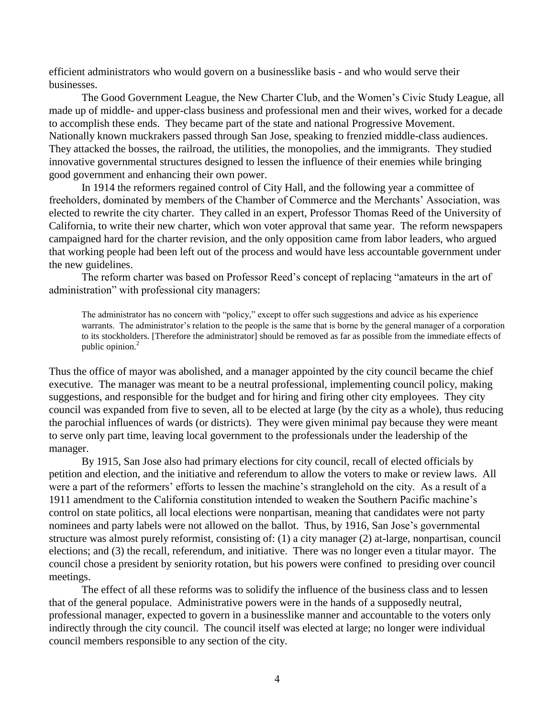efficient administrators who would govern on a businesslike basis - and who would serve their businesses.

The Good Government League, the New Charter Club, and the Women"s Civic Study League, all made up of middle- and upper-class business and professional men and their wives, worked for a decade to accomplish these ends. They became part of the state and national Progressive Movement. Nationally known muckrakers passed through San Jose, speaking to frenzied middle-class audiences. They attacked the bosses, the railroad, the utilities, the monopolies, and the immigrants. They studied innovative governmental structures designed to lessen the influence of their enemies while bringing good government and enhancing their own power.

In 1914 the reformers regained control of City Hall, and the following year a committee of freeholders, dominated by members of the Chamber of Commerce and the Merchants" Association, was elected to rewrite the city charter. They called in an expert, Professor Thomas Reed of the University of California, to write their new charter, which won voter approval that same year. The reform newspapers campaigned hard for the charter revision, and the only opposition came from labor leaders, who argued that working people had been left out of the process and would have less accountable government under the new guidelines.

The reform charter was based on Professor Reed"s concept of replacing "amateurs in the art of administration" with professional city managers:

The administrator has no concern with "policy," except to offer such suggestions and advice as his experience warrants. The administrator's relation to the people is the same that is borne by the general manager of a corporation to its stockholders. [Therefore the administrator] should be removed as far as possible from the immediate effects of public opinion.<sup>2</sup>

Thus the office of mayor was abolished, and a manager appointed by the city council became the chief executive. The manager was meant to be a neutral professional, implementing council policy, making suggestions, and responsible for the budget and for hiring and firing other city employees. They city council was expanded from five to seven, all to be elected at large (by the city as a whole), thus reducing the parochial influences of wards (or districts). They were given minimal pay because they were meant to serve only part time, leaving local government to the professionals under the leadership of the manager.

By 1915, San Jose also had primary elections for city council, recall of elected officials by petition and election, and the initiative and referendum to allow the voters to make or review laws. All were a part of the reformers' efforts to lessen the machine's stranglehold on the city. As a result of a 1911 amendment to the California constitution intended to weaken the Southern Pacific machine"s control on state politics, all local elections were nonpartisan, meaning that candidates were not party nominees and party labels were not allowed on the ballot. Thus, by 1916, San Jose's governmental structure was almost purely reformist, consisting of: (1) a city manager (2) at-large, nonpartisan, council elections; and (3) the recall, referendum, and initiative. There was no longer even a titular mayor. The council chose a president by seniority rotation, but his powers were confined to presiding over council meetings.

The effect of all these reforms was to solidify the influence of the business class and to lessen that of the general populace. Administrative powers were in the hands of a supposedly neutral, professional manager, expected to govern in a businesslike manner and accountable to the voters only indirectly through the city council. The council itself was elected at large; no longer were individual council members responsible to any section of the city.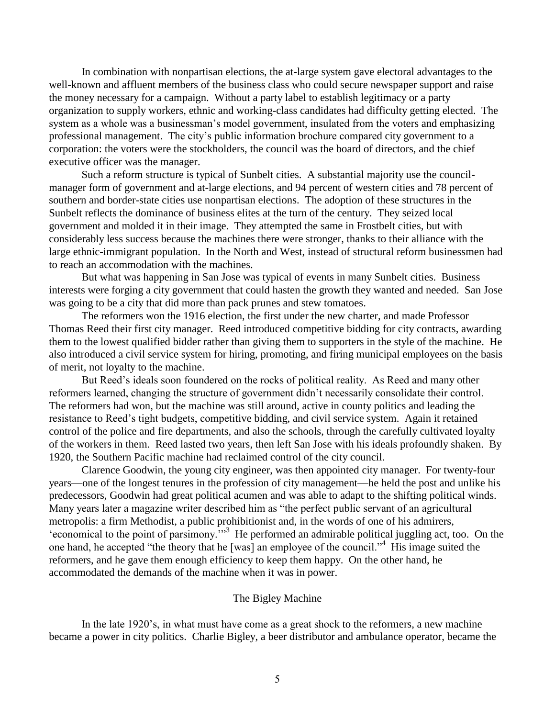In combination with nonpartisan elections, the at-large system gave electoral advantages to the well-known and affluent members of the business class who could secure newspaper support and raise the money necessary for a campaign. Without a party label to establish legitimacy or a party organization to supply workers, ethnic and working-class candidates had difficulty getting elected. The system as a whole was a businessman's model government, insulated from the voters and emphasizing professional management. The city"s public information brochure compared city government to a corporation: the voters were the stockholders, the council was the board of directors, and the chief executive officer was the manager.

Such a reform structure is typical of Sunbelt cities. A substantial majority use the councilmanager form of government and at-large elections, and 94 percent of western cities and 78 percent of southern and border-state cities use nonpartisan elections. The adoption of these structures in the Sunbelt reflects the dominance of business elites at the turn of the century. They seized local government and molded it in their image. They attempted the same in Frostbelt cities, but with considerably less success because the machines there were stronger, thanks to their alliance with the large ethnic-immigrant population. In the North and West, instead of structural reform businessmen had to reach an accommodation with the machines.

But what was happening in San Jose was typical of events in many Sunbelt cities. Business interests were forging a city government that could hasten the growth they wanted and needed. San Jose was going to be a city that did more than pack prunes and stew tomatoes.

The reformers won the 1916 election, the first under the new charter, and made Professor Thomas Reed their first city manager. Reed introduced competitive bidding for city contracts, awarding them to the lowest qualified bidder rather than giving them to supporters in the style of the machine. He also introduced a civil service system for hiring, promoting, and firing municipal employees on the basis of merit, not loyalty to the machine.

But Reed"s ideals soon foundered on the rocks of political reality. As Reed and many other reformers learned, changing the structure of government didn"t necessarily consolidate their control. The reformers had won, but the machine was still around, active in county politics and leading the resistance to Reed"s tight budgets, competitive bidding, and civil service system. Again it retained control of the police and fire departments, and also the schools, through the carefully cultivated loyalty of the workers in them. Reed lasted two years, then left San Jose with his ideals profoundly shaken. By 1920, the Southern Pacific machine had reclaimed control of the city council.

Clarence Goodwin, the young city engineer, was then appointed city manager. For twenty-four years—one of the longest tenures in the profession of city management—he held the post and unlike his predecessors, Goodwin had great political acumen and was able to adapt to the shifting political winds. Many years later a magazine writer described him as "the perfect public servant of an agricultural metropolis: a firm Methodist, a public prohibitionist and, in the words of one of his admirers, 'economical to the point of parsimony."<sup>3</sup> He performed an admirable political juggling act, too. On the one hand, he accepted "the theory that he [was] an employee of the council."<sup>4</sup> His image suited the reformers, and he gave them enough efficiency to keep them happy. On the other hand, he accommodated the demands of the machine when it was in power.

#### The Bigley Machine

In the late 1920"s, in what must have come as a great shock to the reformers, a new machine became a power in city politics. Charlie Bigley, a beer distributor and ambulance operator, became the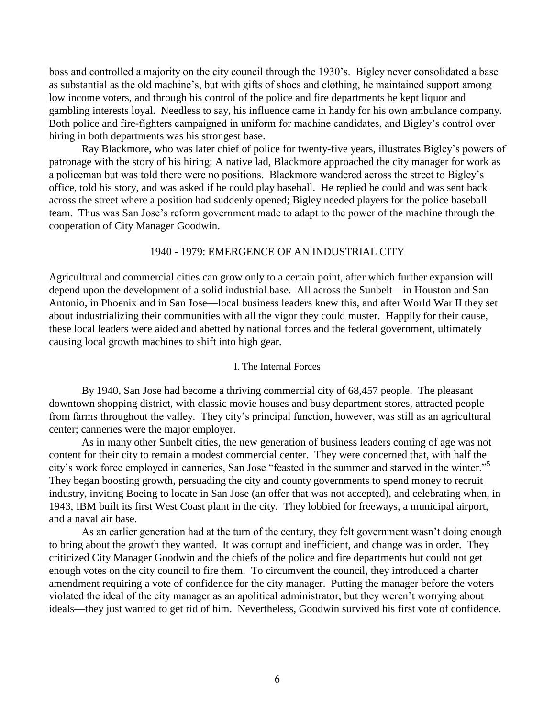boss and controlled a majority on the city council through the 1930"s. Bigley never consolidated a base as substantial as the old machine"s, but with gifts of shoes and clothing, he maintained support among low income voters, and through his control of the police and fire departments he kept liquor and gambling interests loyal. Needless to say, his influence came in handy for his own ambulance company. Both police and fire-fighters campaigned in uniform for machine candidates, and Bigley"s control over hiring in both departments was his strongest base.

Ray Blackmore, who was later chief of police for twenty-five years, illustrates Bigley"s powers of patronage with the story of his hiring: A native lad, Blackmore approached the city manager for work as a policeman but was told there were no positions. Blackmore wandered across the street to Bigley"s office, told his story, and was asked if he could play baseball. He replied he could and was sent back across the street where a position had suddenly opened; Bigley needed players for the police baseball team. Thus was San Jose"s reform government made to adapt to the power of the machine through the cooperation of City Manager Goodwin.

#### 1940 - 1979: EMERGENCE OF AN INDUSTRIAL CITY

Agricultural and commercial cities can grow only to a certain point, after which further expansion will depend upon the development of a solid industrial base. All across the Sunbelt—in Houston and San Antonio, in Phoenix and in San Jose—local business leaders knew this, and after World War II they set about industrializing their communities with all the vigor they could muster. Happily for their cause, these local leaders were aided and abetted by national forces and the federal government, ultimately causing local growth machines to shift into high gear.

#### I. The Internal Forces

By 1940, San Jose had become a thriving commercial city of 68,457 people. The pleasant downtown shopping district, with classic movie houses and busy department stores, attracted people from farms throughout the valley. They city"s principal function, however, was still as an agricultural center; canneries were the major employer.

As in many other Sunbelt cities, the new generation of business leaders coming of age was not content for their city to remain a modest commercial center. They were concerned that, with half the city's work force employed in canneries, San Jose "feasted in the summer and starved in the winter."<sup>5</sup> They began boosting growth, persuading the city and county governments to spend money to recruit industry, inviting Boeing to locate in San Jose (an offer that was not accepted), and celebrating when, in 1943, IBM built its first West Coast plant in the city. They lobbied for freeways, a municipal airport, and a naval air base.

As an earlier generation had at the turn of the century, they felt government wasn't doing enough to bring about the growth they wanted. It was corrupt and inefficient, and change was in order. They criticized City Manager Goodwin and the chiefs of the police and fire departments but could not get enough votes on the city council to fire them. To circumvent the council, they introduced a charter amendment requiring a vote of confidence for the city manager. Putting the manager before the voters violated the ideal of the city manager as an apolitical administrator, but they weren"t worrying about ideals—they just wanted to get rid of him. Nevertheless, Goodwin survived his first vote of confidence.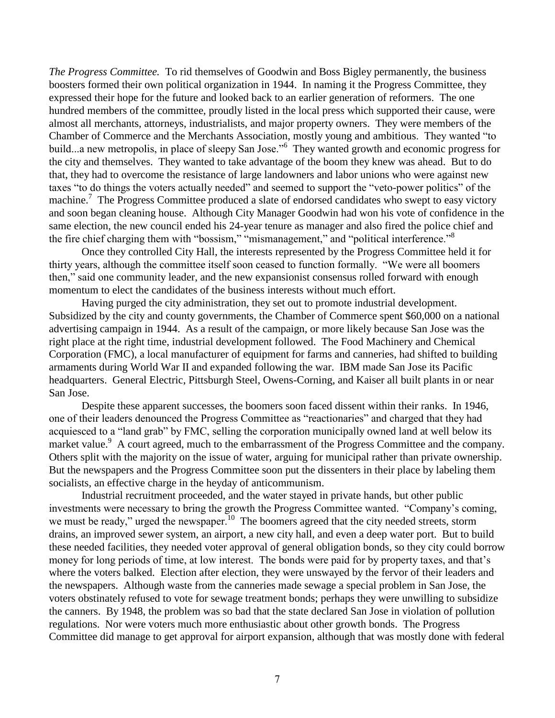*The Progress Committee.* To rid themselves of Goodwin and Boss Bigley permanently, the business boosters formed their own political organization in 1944. In naming it the Progress Committee, they expressed their hope for the future and looked back to an earlier generation of reformers. The one hundred members of the committee, proudly listed in the local press which supported their cause, were almost all merchants, attorneys, industrialists, and major property owners. They were members of the Chamber of Commerce and the Merchants Association, mostly young and ambitious. They wanted "to build...a new metropolis, in place of sleepy San Jose."<sup>6</sup> They wanted growth and economic progress for the city and themselves. They wanted to take advantage of the boom they knew was ahead. But to do that, they had to overcome the resistance of large landowners and labor unions who were against new taxes "to do things the voters actually needed" and seemed to support the "veto-power politics" of the machine.<sup>7</sup> The Progress Committee produced a slate of endorsed candidates who swept to easy victory and soon began cleaning house. Although City Manager Goodwin had won his vote of confidence in the same election, the new council ended his 24-year tenure as manager and also fired the police chief and the fire chief charging them with "bossism," "mismanagement," and "political interference."<sup>8</sup>

Once they controlled City Hall, the interests represented by the Progress Committee held it for thirty years, although the committee itself soon ceased to function formally. "We were all boomers then," said one community leader, and the new expansionist consensus rolled forward with enough momentum to elect the candidates of the business interests without much effort.

Having purged the city administration, they set out to promote industrial development. Subsidized by the city and county governments, the Chamber of Commerce spent \$60,000 on a national advertising campaign in 1944. As a result of the campaign, or more likely because San Jose was the right place at the right time, industrial development followed. The Food Machinery and Chemical Corporation (FMC), a local manufacturer of equipment for farms and canneries, had shifted to building armaments during World War II and expanded following the war. IBM made San Jose its Pacific headquarters. General Electric, Pittsburgh Steel, Owens-Corning, and Kaiser all built plants in or near San Jose.

Despite these apparent successes, the boomers soon faced dissent within their ranks. In 1946, one of their leaders denounced the Progress Committee as "reactionaries" and charged that they had acquiesced to a "land grab" by FMC, selling the corporation municipally owned land at well below its market value.<sup>9</sup> A court agreed, much to the embarrassment of the Progress Committee and the company. Others split with the majority on the issue of water, arguing for municipal rather than private ownership. But the newspapers and the Progress Committee soon put the dissenters in their place by labeling them socialists, an effective charge in the heyday of anticommunism.

Industrial recruitment proceeded, and the water stayed in private hands, but other public investments were necessary to bring the growth the Progress Committee wanted. "Company"s coming, we must be ready," urged the newspaper.<sup>10</sup> The boomers agreed that the city needed streets, storm drains, an improved sewer system, an airport, a new city hall, and even a deep water port. But to build these needed facilities, they needed voter approval of general obligation bonds, so they city could borrow money for long periods of time, at low interest. The bonds were paid for by property taxes, and that's where the voters balked. Election after election, they were unswayed by the fervor of their leaders and the newspapers. Although waste from the canneries made sewage a special problem in San Jose, the voters obstinately refused to vote for sewage treatment bonds; perhaps they were unwilling to subsidize the canners. By 1948, the problem was so bad that the state declared San Jose in violation of pollution regulations. Nor were voters much more enthusiastic about other growth bonds. The Progress Committee did manage to get approval for airport expansion, although that was mostly done with federal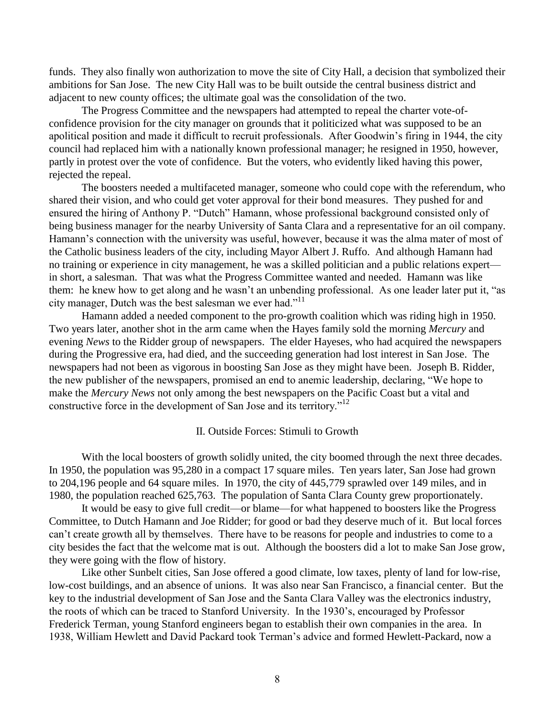funds. They also finally won authorization to move the site of City Hall, a decision that symbolized their ambitions for San Jose. The new City Hall was to be built outside the central business district and adjacent to new county offices; the ultimate goal was the consolidation of the two.

The Progress Committee and the newspapers had attempted to repeal the charter vote-ofconfidence provision for the city manager on grounds that it politicized what was supposed to be an apolitical position and made it difficult to recruit professionals. After Goodwin"s firing in 1944, the city council had replaced him with a nationally known professional manager; he resigned in 1950, however, partly in protest over the vote of confidence. But the voters, who evidently liked having this power, rejected the repeal.

The boosters needed a multifaceted manager, someone who could cope with the referendum, who shared their vision, and who could get voter approval for their bond measures. They pushed for and ensured the hiring of Anthony P. "Dutch" Hamann, whose professional background consisted only of being business manager for the nearby University of Santa Clara and a representative for an oil company. Hamann"s connection with the university was useful, however, because it was the alma mater of most of the Catholic business leaders of the city, including Mayor Albert J. Ruffo. And although Hamann had no training or experience in city management, he was a skilled politician and a public relations expert in short, a salesman. That was what the Progress Committee wanted and needed. Hamann was like them: he knew how to get along and he wasn"t an unbending professional. As one leader later put it, "as city manager, Dutch was the best salesman we ever had."<sup>11</sup>

Hamann added a needed component to the pro-growth coalition which was riding high in 1950. Two years later, another shot in the arm came when the Hayes family sold the morning *Mercury* and evening *News* to the Ridder group of newspapers. The elder Hayeses, who had acquired the newspapers during the Progressive era, had died, and the succeeding generation had lost interest in San Jose. The newspapers had not been as vigorous in boosting San Jose as they might have been. Joseph B. Ridder, the new publisher of the newspapers, promised an end to anemic leadership, declaring, "We hope to make the *Mercury News* not only among the best newspapers on the Pacific Coast but a vital and constructive force in the development of San Jose and its territory.<sup>"12</sup>

#### II. Outside Forces: Stimuli to Growth

With the local boosters of growth solidly united, the city boomed through the next three decades. In 1950, the population was 95,280 in a compact 17 square miles. Ten years later, San Jose had grown to 204,196 people and 64 square miles. In 1970, the city of 445,779 sprawled over 149 miles, and in 1980, the population reached 625,763. The population of Santa Clara County grew proportionately.

It would be easy to give full credit—or blame—for what happened to boosters like the Progress Committee, to Dutch Hamann and Joe Ridder; for good or bad they deserve much of it. But local forces can"t create growth all by themselves. There have to be reasons for people and industries to come to a city besides the fact that the welcome mat is out. Although the boosters did a lot to make San Jose grow, they were going with the flow of history.

Like other Sunbelt cities, San Jose offered a good climate, low taxes, plenty of land for low-rise, low-cost buildings, and an absence of unions. It was also near San Francisco, a financial center. But the key to the industrial development of San Jose and the Santa Clara Valley was the electronics industry, the roots of which can be traced to Stanford University. In the 1930"s, encouraged by Professor Frederick Terman, young Stanford engineers began to establish their own companies in the area. In 1938, William Hewlett and David Packard took Terman"s advice and formed Hewlett-Packard, now a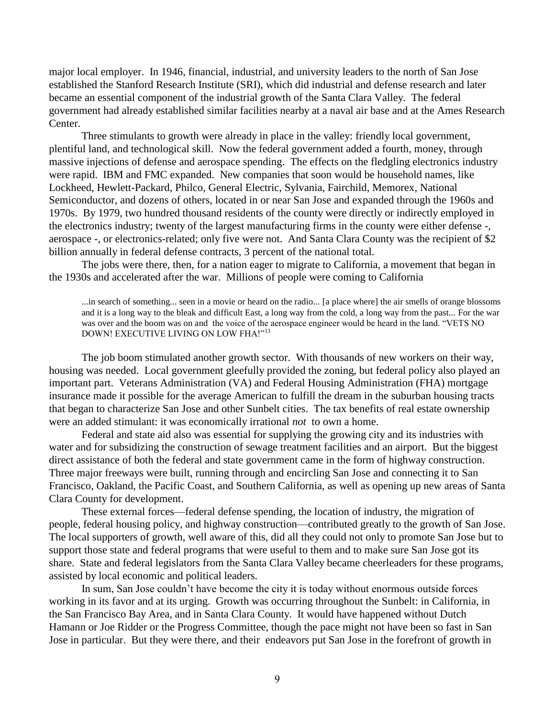major local employer. In 1946, financial, industrial, and university leaders to the north of San Jose established the Stanford Research Institute (SRI), which did industrial and defense research and later became an essential component of the industrial growth of the Santa Clara Valley. The federal government had already established similar facilities nearby at a naval air base and at the Ames Research Center.

Three stimulants to growth were already in place in the valley: friendly local government, plentiful land, and technological skill. Now the federal government added a fourth, money, through massive injections of defense and aerospace spending. The effects on the fledgling electronics industry were rapid. IBM and FMC expanded. New companies that soon would be household names, like Lockheed, Hewlett-Packard, Philco, General Electric, Sylvania, Fairchild, Memorex, National Semiconductor, and dozens of others, located in or near San Jose and expanded through the 1960s and 1970s. By 1979, two hundred thousand residents of the county were directly or indirectly employed in the electronics industry; twenty of the largest manufacturing firms in the county were either defense -, aerospace -, or electronics-related; only five were not. And Santa Clara County was the recipient of \$2 billion annually in federal defense contracts, 3 percent of the national total.

The jobs were there, then, for a nation eager to migrate to California, a movement that began in the 1930s and accelerated after the war. Millions of people were coming to California

...in search of something... seen in a movie or heard on the radio... [a place where] the air smells of orange blossoms and it is a long way to the bleak and difficult East, a long way from the cold, a long way from the past... For the war was over and the boom was on and the voice of the aerospace engineer would be heard in the land. "VETS NO DOWN! EXECUTIVE LIVING ON LOW FHA!"<sup>13</sup>

The job boom stimulated another growth sector. With thousands of new workers on their way, housing was needed. Local government gleefully provided the zoning, but federal policy also played an important part. Veterans Administration (VA) and Federal Housing Administration (FHA) mortgage insurance made it possible for the average American to fulfill the dream in the suburban housing tracts that began to characterize San Jose and other Sunbelt cities. The tax benefits of real estate ownership were an added stimulant: it was economically irrational *not* to own a home.

Federal and state aid also was essential for supplying the growing city and its industries with water and for subsidizing the construction of sewage treatment facilities and an airport. But the biggest direct assistance of both the federal and state government came in the form of highway construction. Three major freeways were built, running through and encircling San Jose and connecting it to San Francisco, Oakland, the Pacific Coast, and Southern California, as well as opening up new areas of Santa Clara County for development.

These external forces—federal defense spending, the location of industry, the migration of people, federal housing policy, and highway construction—contributed greatly to the growth of San Jose. The local supporters of growth, well aware of this, did all they could not only to promote San Jose but to support those state and federal programs that were useful to them and to make sure San Jose got its share. State and federal legislators from the Santa Clara Valley became cheerleaders for these programs, assisted by local economic and political leaders.

In sum, San Jose couldn"t have become the city it is today without enormous outside forces working in its favor and at its urging. Growth was occurring throughout the Sunbelt: in California, in the San Francisco Bay Area, and in Santa Clara County. It would have happened without Dutch Hamann or Joe Ridder or the Progress Committee, though the pace might not have been so fast in San Jose in particular. But they were there, and their endeavors put San Jose in the forefront of growth in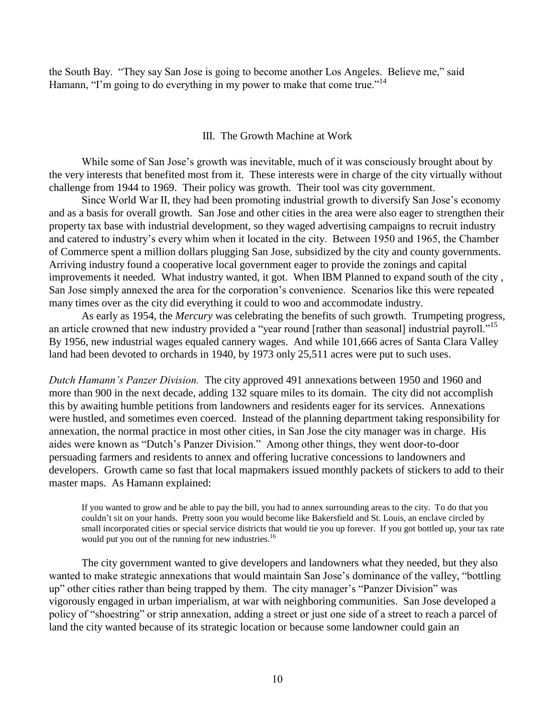the South Bay. "They say San Jose is going to become another Los Angeles. Believe me," said Hamann, "I'm going to do everything in my power to make that come true."<sup>14</sup>

### III. The Growth Machine at Work

While some of San Jose's growth was inevitable, much of it was consciously brought about by the very interests that benefited most from it. These interests were in charge of the city virtually without challenge from 1944 to 1969. Their policy was growth. Their tool was city government.

Since World War II, they had been promoting industrial growth to diversify San Jose's economy and as a basis for overall growth. San Jose and other cities in the area were also eager to strengthen their property tax base with industrial development, so they waged advertising campaigns to recruit industry and catered to industry"s every whim when it located in the city. Between 1950 and 1965, the Chamber of Commerce spent a million dollars plugging San Jose, subsidized by the city and county governments. Arriving industry found a cooperative local government eager to provide the zonings and capital improvements it needed. What industry wanted, it got. When IBM Planned to expand south of the city , San Jose simply annexed the area for the corporation's convenience. Scenarios like this were repeated many times over as the city did everything it could to woo and accommodate industry.

As early as 1954, the *Mercury* was celebrating the benefits of such growth. Trumpeting progress, an article crowned that new industry provided a "year round [rather than seasonal] industrial payroll."<sup>15</sup> By 1956, new industrial wages equaled cannery wages. And while 101,666 acres of Santa Clara Valley land had been devoted to orchards in 1940, by 1973 only 25,511 acres were put to such uses.

*Dutch Hamann's Panzer Division.* The city approved 491 annexations between 1950 and 1960 and more than 900 in the next decade, adding 132 square miles to its domain. The city did not accomplish this by awaiting humble petitions from landowners and residents eager for its services. Annexations were hustled, and sometimes even coerced. Instead of the planning department taking responsibility for annexation, the normal practice in most other cities, in San Jose the city manager was in charge. His aides were known as "Dutch"s Panzer Division." Among other things, they went door-to-door persuading farmers and residents to annex and offering lucrative concessions to landowners and developers. Growth came so fast that local mapmakers issued monthly packets of stickers to add to their master maps. As Hamann explained:

If you wanted to grow and be able to pay the bill, you had to annex surrounding areas to the city. To do that you couldn"t sit on your hands. Pretty soon you would become like Bakersfield and St. Louis, an enclave circled by small incorporated cities or special service districts that would tie you up forever. If you got bottled up, your tax rate would put you out of the running for new industries.<sup>16</sup>

The city government wanted to give developers and landowners what they needed, but they also wanted to make strategic annexations that would maintain San Jose"s dominance of the valley, "bottling up" other cities rather than being trapped by them. The city manager"s "Panzer Division" was vigorously engaged in urban imperialism, at war with neighboring communities. San Jose developed a policy of "shoestring" or strip annexation, adding a street or just one side of a street to reach a parcel of land the city wanted because of its strategic location or because some landowner could gain an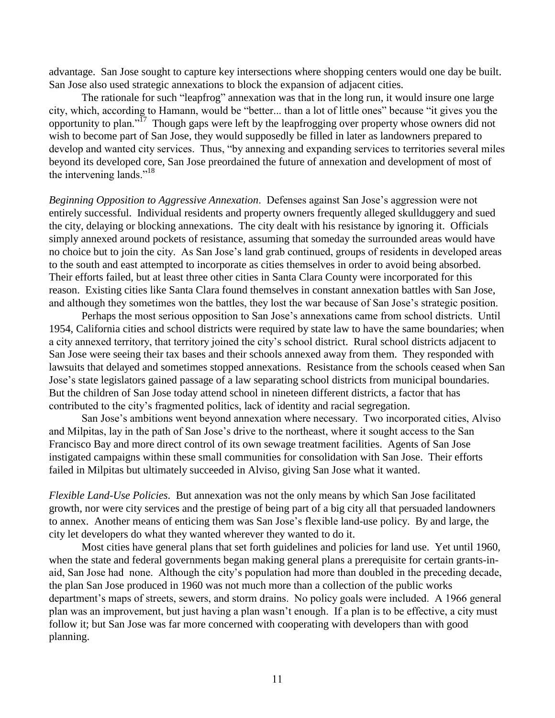advantage. San Jose sought to capture key intersections where shopping centers would one day be built. San Jose also used strategic annexations to block the expansion of adjacent cities.

The rationale for such "leapfrog" annexation was that in the long run, it would insure one large city, which, according to Hamann, would be "better... than a lot of little ones" because "it gives you the opportunity to plan."<sup>17</sup> Though gaps were left by the leapfrogging over property whose owners did not wish to become part of San Jose, they would supposedly be filled in later as landowners prepared to develop and wanted city services. Thus, "by annexing and expanding services to territories several miles beyond its developed core, San Jose preordained the future of annexation and development of most of the intervening lands."<sup>18</sup>

*Beginning Opposition to Aggressive Annexation*. Defenses against San Jose"s aggression were not entirely successful. Individual residents and property owners frequently alleged skullduggery and sued the city, delaying or blocking annexations. The city dealt with his resistance by ignoring it. Officials simply annexed around pockets of resistance, assuming that someday the surrounded areas would have no choice but to join the city. As San Jose"s land grab continued, groups of residents in developed areas to the south and east attempted to incorporate as cities themselves in order to avoid being absorbed. Their efforts failed, but at least three other cities in Santa Clara County were incorporated for this reason. Existing cities like Santa Clara found themselves in constant annexation battles with San Jose, and although they sometimes won the battles, they lost the war because of San Jose"s strategic position.

Perhaps the most serious opposition to San Jose's annexations came from school districts. Until 1954, California cities and school districts were required by state law to have the same boundaries; when a city annexed territory, that territory joined the city"s school district. Rural school districts adjacent to San Jose were seeing their tax bases and their schools annexed away from them. They responded with lawsuits that delayed and sometimes stopped annexations. Resistance from the schools ceased when San Jose"s state legislators gained passage of a law separating school districts from municipal boundaries. But the children of San Jose today attend school in nineteen different districts, a factor that has contributed to the city"s fragmented politics, lack of identity and racial segregation.

San Jose"s ambitions went beyond annexation where necessary. Two incorporated cities, Alviso and Milpitas, lay in the path of San Jose"s drive to the northeast, where it sought access to the San Francisco Bay and more direct control of its own sewage treatment facilities. Agents of San Jose instigated campaigns within these small communities for consolidation with San Jose. Their efforts failed in Milpitas but ultimately succeeded in Alviso, giving San Jose what it wanted.

*Flexible Land-Use Policies*. But annexation was not the only means by which San Jose facilitated growth, nor were city services and the prestige of being part of a big city all that persuaded landowners to annex. Another means of enticing them was San Jose"s flexible land-use policy. By and large, the city let developers do what they wanted wherever they wanted to do it.

Most cities have general plans that set forth guidelines and policies for land use. Yet until 1960, when the state and federal governments began making general plans a prerequisite for certain grants-inaid, San Jose had none. Although the city"s population had more than doubled in the preceding decade, the plan San Jose produced in 1960 was not much more than a collection of the public works department's maps of streets, sewers, and storm drains. No policy goals were included. A 1966 general plan was an improvement, but just having a plan wasn"t enough. If a plan is to be effective, a city must follow it; but San Jose was far more concerned with cooperating with developers than with good planning.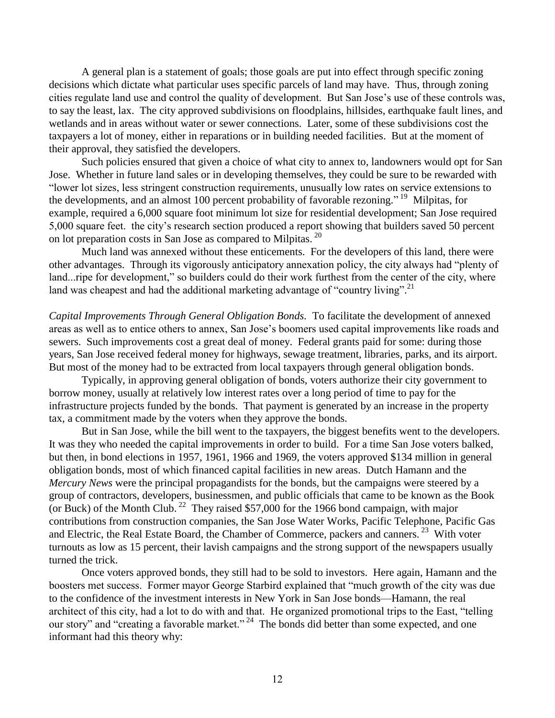A general plan is a statement of goals; those goals are put into effect through specific zoning decisions which dictate what particular uses specific parcels of land may have. Thus, through zoning cities regulate land use and control the quality of development. But San Jose"s use of these controls was, to say the least, lax. The city approved subdivisions on floodplains, hillsides, earthquake fault lines, and wetlands and in areas without water or sewer connections. Later, some of these subdivisions cost the taxpayers a lot of money, either in reparations or in building needed facilities. But at the moment of their approval, they satisfied the developers.

Such policies ensured that given a choice of what city to annex to, landowners would opt for San Jose. Whether in future land sales or in developing themselves, they could be sure to be rewarded with "lower lot sizes, less stringent construction requirements, unusually low rates on service extensions to the developments, and an almost 100 percent probability of favorable rezoning." 19 Milpitas, for example, required a 6,000 square foot minimum lot size for residential development; San Jose required 5,000 square feet. the city"s research section produced a report showing that builders saved 50 percent on lot preparation costs in San Jose as compared to Milpitas.<sup>20</sup>

Much land was annexed without these enticements. For the developers of this land, there were other advantages. Through its vigorously anticipatory annexation policy, the city always had "plenty of land...ripe for development," so builders could do their work furthest from the center of the city, where land was cheapest and had the additional marketing advantage of "country living".<sup>21</sup>

*Capital Improvements Through General Obligation Bonds.* To facilitate the development of annexed areas as well as to entice others to annex, San Jose"s boomers used capital improvements like roads and sewers. Such improvements cost a great deal of money. Federal grants paid for some: during those years, San Jose received federal money for highways, sewage treatment, libraries, parks, and its airport. But most of the money had to be extracted from local taxpayers through general obligation bonds.

Typically, in approving general obligation of bonds, voters authorize their city government to borrow money, usually at relatively low interest rates over a long period of time to pay for the infrastructure projects funded by the bonds. That payment is generated by an increase in the property tax, a commitment made by the voters when they approve the bonds.

But in San Jose, while the bill went to the taxpayers, the biggest benefits went to the developers. It was they who needed the capital improvements in order to build. For a time San Jose voters balked, but then, in bond elections in 1957, 1961, 1966 and 1969, the voters approved \$134 million in general obligation bonds, most of which financed capital facilities in new areas. Dutch Hamann and the *Mercury News* were the principal propagandists for the bonds, but the campaigns were steered by a group of contractors, developers, businessmen, and public officials that came to be known as the Book (or Buck) of the Month Club.  $^{22}$  They raised \$57,000 for the 1966 bond campaign, with major contributions from construction companies, the San Jose Water Works, Pacific Telephone, Pacific Gas and Electric, the Real Estate Board, the Chamber of Commerce, packers and canners.<sup>23</sup> With voter turnouts as low as 15 percent, their lavish campaigns and the strong support of the newspapers usually turned the trick.

Once voters approved bonds, they still had to be sold to investors. Here again, Hamann and the boosters met success. Former mayor George Starbird explained that "much growth of the city was due to the confidence of the investment interests in New York in San Jose bonds—Hamann, the real architect of this city, had a lot to do with and that. He organized promotional trips to the East, "telling our story" and "creating a favorable market."<sup>24</sup> The bonds did better than some expected, and one informant had this theory why: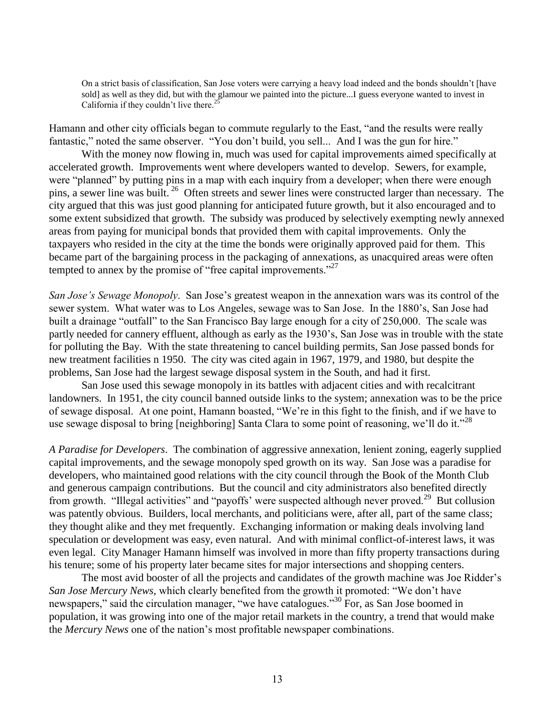On a strict basis of classification, San Jose voters were carrying a heavy load indeed and the bonds shouldn"t [have sold] as well as they did, but with the glamour we painted into the picture...I guess everyone wanted to invest in California if they couldn't live there.<sup>25</sup>

Hamann and other city officials began to commute regularly to the East, "and the results were really fantastic," noted the same observer. "You don't build, you sell... And I was the gun for hire."

With the money now flowing in, much was used for capital improvements aimed specifically at accelerated growth. Improvements went where developers wanted to develop. Sewers, for example, were "planned" by putting pins in a map with each inquiry from a developer; when there were enough pins, a sewer line was built.<sup>26</sup> Often streets and sewer lines were constructed larger than necessary. The city argued that this was just good planning for anticipated future growth, but it also encouraged and to some extent subsidized that growth. The subsidy was produced by selectively exempting newly annexed areas from paying for municipal bonds that provided them with capital improvements. Only the taxpayers who resided in the city at the time the bonds were originally approved paid for them. This became part of the bargaining process in the packaging of annexations, as unacquired areas were often tempted to annex by the promise of "free capital improvements."<sup>27</sup>

*San Jose's Sewage Monopoly*. San Jose"s greatest weapon in the annexation wars was its control of the sewer system. What water was to Los Angeles, sewage was to San Jose. In the 1880"s, San Jose had built a drainage "outfall" to the San Francisco Bay large enough for a city of 250,000. The scale was partly needed for cannery effluent, although as early as the 1930"s, San Jose was in trouble with the state for polluting the Bay. With the state threatening to cancel building permits, San Jose passed bonds for new treatment facilities n 1950. The city was cited again in 1967, 1979, and 1980, but despite the problems, San Jose had the largest sewage disposal system in the South, and had it first.

San Jose used this sewage monopoly in its battles with adjacent cities and with recalcitrant landowners. In 1951, the city council banned outside links to the system; annexation was to be the price of sewage disposal. At one point, Hamann boasted, "We"re in this fight to the finish, and if we have to use sewage disposal to bring [neighboring] Santa Clara to some point of reasoning, we'll do it."<sup>28</sup>

*A Paradise for Developers*. The combination of aggressive annexation, lenient zoning, eagerly supplied capital improvements, and the sewage monopoly sped growth on its way. San Jose was a paradise for developers, who maintained good relations with the city council through the Book of the Month Club and generous campaign contributions. But the council and city administrators also benefited directly from growth. "Illegal activities" and "payoffs' were suspected although never proved.<sup>29</sup> But collusion was patently obvious. Builders, local merchants, and politicians were, after all, part of the same class; they thought alike and they met frequently. Exchanging information or making deals involving land speculation or development was easy, even natural. And with minimal conflict-of-interest laws, it was even legal. City Manager Hamann himself was involved in more than fifty property transactions during his tenure; some of his property later became sites for major intersections and shopping centers.

The most avid booster of all the projects and candidates of the growth machine was Joe Ridder's *San Jose Mercury News,* which clearly benefited from the growth it promoted: "We don"t have newspapers," said the circulation manager, "we have catalogues."<sup>30</sup> For, as San Jose boomed in population, it was growing into one of the major retail markets in the country, a trend that would make the *Mercury News* one of the nation"s most profitable newspaper combinations.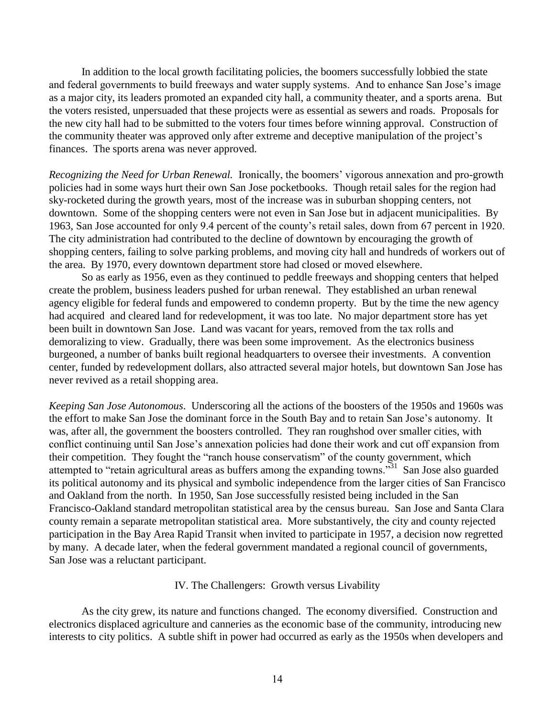In addition to the local growth facilitating policies, the boomers successfully lobbied the state and federal governments to build freeways and water supply systems. And to enhance San Jose's image as a major city, its leaders promoted an expanded city hall, a community theater, and a sports arena. But the voters resisted, unpersuaded that these projects were as essential as sewers and roads. Proposals for the new city hall had to be submitted to the voters four times before winning approval. Construction of the community theater was approved only after extreme and deceptive manipulation of the project"s finances. The sports arena was never approved.

*Recognizing the Need for Urban Renewal.* Ironically, the boomers" vigorous annexation and pro-growth policies had in some ways hurt their own San Jose pocketbooks. Though retail sales for the region had sky-rocketed during the growth years, most of the increase was in suburban shopping centers, not downtown. Some of the shopping centers were not even in San Jose but in adjacent municipalities. By 1963, San Jose accounted for only 9.4 percent of the county"s retail sales, down from 67 percent in 1920. The city administration had contributed to the decline of downtown by encouraging the growth of shopping centers, failing to solve parking problems, and moving city hall and hundreds of workers out of the area. By 1970, every downtown department store had closed or moved elsewhere.

So as early as 1956, even as they continued to peddle freeways and shopping centers that helped create the problem, business leaders pushed for urban renewal. They established an urban renewal agency eligible for federal funds and empowered to condemn property. But by the time the new agency had acquired and cleared land for redevelopment, it was too late. No major department store has yet been built in downtown San Jose. Land was vacant for years, removed from the tax rolls and demoralizing to view. Gradually, there was been some improvement. As the electronics business burgeoned, a number of banks built regional headquarters to oversee their investments. A convention center, funded by redevelopment dollars, also attracted several major hotels, but downtown San Jose has never revived as a retail shopping area.

*Keeping San Jose Autonomous*. Underscoring all the actions of the boosters of the 1950s and 1960s was the effort to make San Jose the dominant force in the South Bay and to retain San Jose"s autonomy. It was, after all, the government the boosters controlled. They ran roughshod over smaller cities, with conflict continuing until San Jose"s annexation policies had done their work and cut off expansion from their competition. They fought the "ranch house conservatism" of the county government, which attempted to "retain agricultural areas as buffers among the expanding towns."<sup>31</sup> San Jose also guarded its political autonomy and its physical and symbolic independence from the larger cities of San Francisco and Oakland from the north. In 1950, San Jose successfully resisted being included in the San Francisco-Oakland standard metropolitan statistical area by the census bureau. San Jose and Santa Clara county remain a separate metropolitan statistical area. More substantively, the city and county rejected participation in the Bay Area Rapid Transit when invited to participate in 1957, a decision now regretted by many. A decade later, when the federal government mandated a regional council of governments, San Jose was a reluctant participant.

## IV. The Challengers: Growth versus Livability

As the city grew, its nature and functions changed. The economy diversified. Construction and electronics displaced agriculture and canneries as the economic base of the community, introducing new interests to city politics. A subtle shift in power had occurred as early as the 1950s when developers and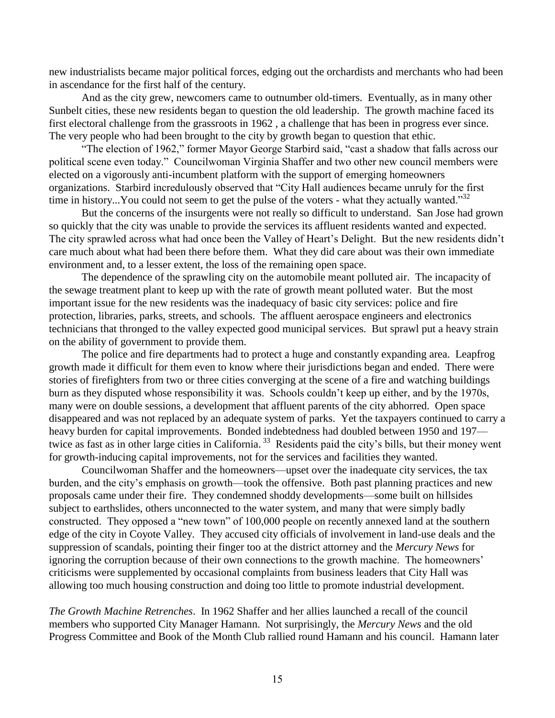new industrialists became major political forces, edging out the orchardists and merchants who had been in ascendance for the first half of the century.

And as the city grew, newcomers came to outnumber old-timers. Eventually, as in many other Sunbelt cities, these new residents began to question the old leadership. The growth machine faced its first electoral challenge from the grassroots in 1962 , a challenge that has been in progress ever since. The very people who had been brought to the city by growth began to question that ethic.

"The election of 1962," former Mayor George Starbird said, "cast a shadow that falls across our political scene even today." Councilwoman Virginia Shaffer and two other new council members were elected on a vigorously anti-incumbent platform with the support of emerging homeowners organizations. Starbird incredulously observed that "City Hall audiences became unruly for the first time in history...You could not seem to get the pulse of the voters - what they actually wanted.<sup>332</sup>

But the concerns of the insurgents were not really so difficult to understand. San Jose had grown so quickly that the city was unable to provide the services its affluent residents wanted and expected. The city sprawled across what had once been the Valley of Heart's Delight. But the new residents didn't care much about what had been there before them. What they did care about was their own immediate environment and, to a lesser extent, the loss of the remaining open space.

The dependence of the sprawling city on the automobile meant polluted air. The incapacity of the sewage treatment plant to keep up with the rate of growth meant polluted water. But the most important issue for the new residents was the inadequacy of basic city services: police and fire protection, libraries, parks, streets, and schools. The affluent aerospace engineers and electronics technicians that thronged to the valley expected good municipal services. But sprawl put a heavy strain on the ability of government to provide them.

The police and fire departments had to protect a huge and constantly expanding area. Leapfrog growth made it difficult for them even to know where their jurisdictions began and ended. There were stories of firefighters from two or three cities converging at the scene of a fire and watching buildings burn as they disputed whose responsibility it was. Schools couldn"t keep up either, and by the 1970s, many were on double sessions, a development that affluent parents of the city abhorred. Open space disappeared and was not replaced by an adequate system of parks. Yet the taxpayers continued to carry a heavy burden for capital improvements. Bonded indebtedness had doubled between 1950 and 197 twice as fast as in other large cities in California.<sup>33</sup> Residents paid the city's bills, but their money went for growth-inducing capital improvements, not for the services and facilities they wanted.

Councilwoman Shaffer and the homeowners—upset over the inadequate city services, the tax burden, and the city"s emphasis on growth—took the offensive. Both past planning practices and new proposals came under their fire. They condemned shoddy developments—some built on hillsides subject to earthslides, others unconnected to the water system, and many that were simply badly constructed. They opposed a "new town" of 100,000 people on recently annexed land at the southern edge of the city in Coyote Valley. They accused city officials of involvement in land-use deals and the suppression of scandals, pointing their finger too at the district attorney and the *Mercury News* for ignoring the corruption because of their own connections to the growth machine. The homeowners' criticisms were supplemented by occasional complaints from business leaders that City Hall was allowing too much housing construction and doing too little to promote industrial development.

*The Growth Machine Retrenches*. In 1962 Shaffer and her allies launched a recall of the council members who supported City Manager Hamann. Not surprisingly, the *Mercury News* and the old Progress Committee and Book of the Month Club rallied round Hamann and his council. Hamann later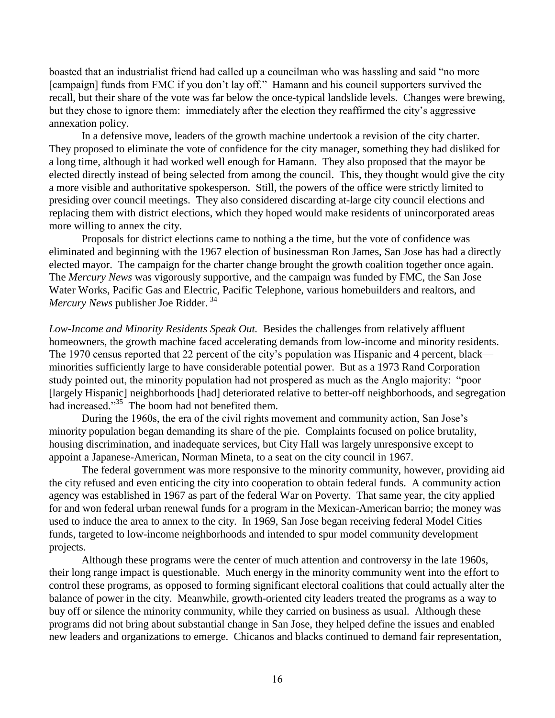boasted that an industrialist friend had called up a councilman who was hassling and said "no more [campaign] funds from FMC if you don't lay off." Hamann and his council supporters survived the recall, but their share of the vote was far below the once-typical landslide levels. Changes were brewing, but they chose to ignore them: immediately after the election they reaffirmed the city's aggressive annexation policy.

In a defensive move, leaders of the growth machine undertook a revision of the city charter. They proposed to eliminate the vote of confidence for the city manager, something they had disliked for a long time, although it had worked well enough for Hamann. They also proposed that the mayor be elected directly instead of being selected from among the council. This, they thought would give the city a more visible and authoritative spokesperson. Still, the powers of the office were strictly limited to presiding over council meetings. They also considered discarding at-large city council elections and replacing them with district elections, which they hoped would make residents of unincorporated areas more willing to annex the city.

Proposals for district elections came to nothing a the time, but the vote of confidence was eliminated and beginning with the 1967 election of businessman Ron James, San Jose has had a directly elected mayor. The campaign for the charter change brought the growth coalition together once again. The *Mercury News* was vigorously supportive, and the campaign was funded by FMC, the San Jose Water Works, Pacific Gas and Electric, Pacific Telephone, various homebuilders and realtors, and *Mercury News* publisher Joe Ridder. <sup>34</sup>

*Low-Income and Minority Residents Speak Out.* Besides the challenges from relatively affluent homeowners, the growth machine faced accelerating demands from low-income and minority residents. The 1970 census reported that 22 percent of the city's population was Hispanic and 4 percent, black minorities sufficiently large to have considerable potential power. But as a 1973 Rand Corporation study pointed out, the minority population had not prospered as much as the Anglo majority: "poor [largely Hispanic] neighborhoods [had] deteriorated relative to better-off neighborhoods, and segregation had increased."<sup>35</sup> The boom had not benefited them.

During the 1960s, the era of the civil rights movement and community action, San Jose"s minority population began demanding its share of the pie. Complaints focused on police brutality, housing discrimination, and inadequate services, but City Hall was largely unresponsive except to appoint a Japanese-American, Norman Mineta, to a seat on the city council in 1967.

The federal government was more responsive to the minority community, however, providing aid the city refused and even enticing the city into cooperation to obtain federal funds. A community action agency was established in 1967 as part of the federal War on Poverty. That same year, the city applied for and won federal urban renewal funds for a program in the Mexican-American barrio; the money was used to induce the area to annex to the city. In 1969, San Jose began receiving federal Model Cities funds, targeted to low-income neighborhoods and intended to spur model community development projects.

Although these programs were the center of much attention and controversy in the late 1960s, their long range impact is questionable. Much energy in the minority community went into the effort to control these programs, as opposed to forming significant electoral coalitions that could actually alter the balance of power in the city. Meanwhile, growth-oriented city leaders treated the programs as a way to buy off or silence the minority community, while they carried on business as usual. Although these programs did not bring about substantial change in San Jose, they helped define the issues and enabled new leaders and organizations to emerge. Chicanos and blacks continued to demand fair representation,